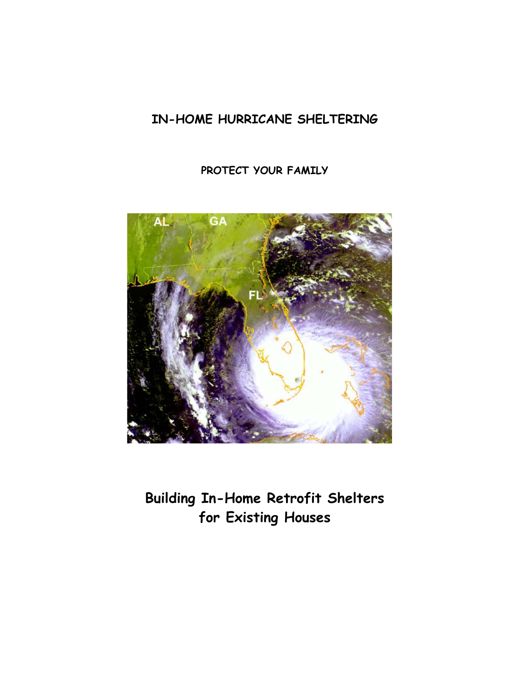# **IN-HOME HURRICANE SHELTERING**

**PROTECT YOUR FAMILY**



**Building In-Home Retrofit Shelters for Existing Houses**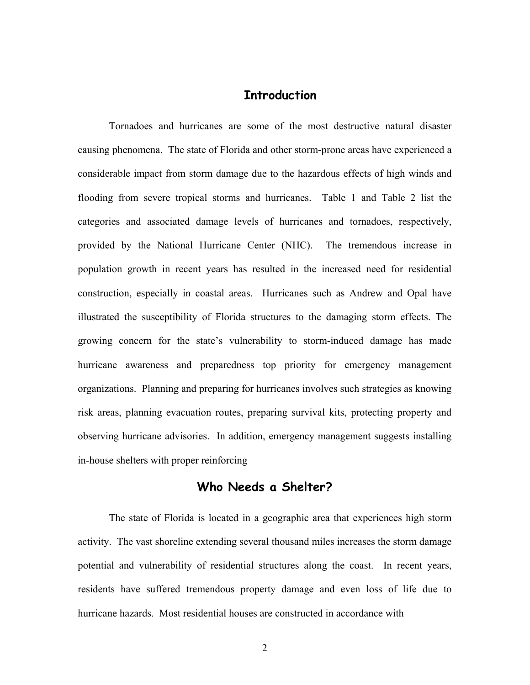#### **Introduction**

Tornadoes and hurricanes are some of the most destructive natural disaster causing phenomena. The state of Florida and other storm-prone areas have experienced a considerable impact from storm damage due to the hazardous effects of high winds and flooding from severe tropical storms and hurricanes. Table 1 and Table 2 list the categories and associated damage levels of hurricanes and tornadoes, respectively, provided by the National Hurricane Center (NHC). The tremendous increase in population growth in recent years has resulted in the increased need for residential construction, especially in coastal areas. Hurricanes such as Andrew and Opal have illustrated the susceptibility of Florida structures to the damaging storm effects. The growing concern for the state's vulnerability to storm-induced damage has made hurricane awareness and preparedness top priority for emergency management organizations. Planning and preparing for hurricanes involves such strategies as knowing risk areas, planning evacuation routes, preparing survival kits, protecting property and observing hurricane advisories. In addition, emergency management suggests installing in-house shelters with proper reinforcing

### **Who Needs a Shelter?**

The state of Florida is located in a geographic area that experiences high storm activity. The vast shoreline extending several thousand miles increases the storm damage potential and vulnerability of residential structures along the coast. In recent years, residents have suffered tremendous property damage and even loss of life due to hurricane hazards. Most residential houses are constructed in accordance with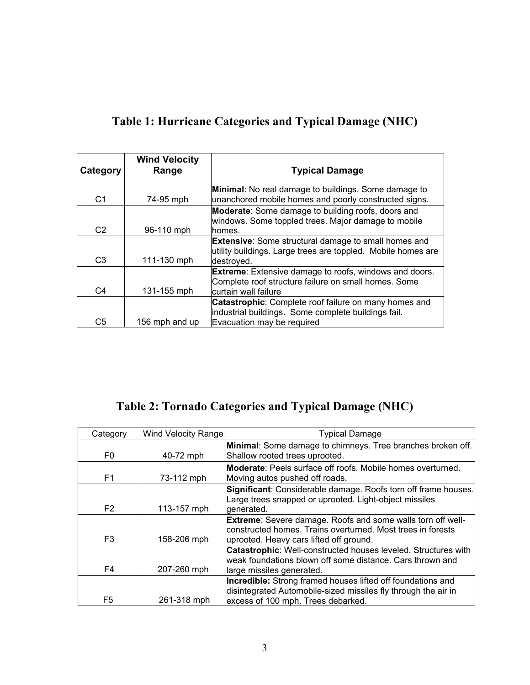| Category       | <b>Wind Velocity</b><br>Range | <b>Typical Damage</b>                                                                                                                         |
|----------------|-------------------------------|-----------------------------------------------------------------------------------------------------------------------------------------------|
| C <sub>1</sub> | 74-95 mph                     | <b>Minimal:</b> No real damage to buildings. Some damage to<br>unanchored mobile homes and poorly constructed signs.                          |
| C <sub>2</sub> | 96-110 mph                    | <b>Moderate:</b> Some damage to building roofs, doors and<br>windows. Some toppled trees. Major damage to mobile<br>lhomes.                   |
| C <sub>3</sub> | 111-130 mph                   | <b>Extensive:</b> Some structural damage to small homes and<br>utility buildings. Large trees are toppled. Mobile homes are<br>destroved.     |
| C4             | 131-155 mph                   | <b>Extreme:</b> Extensive damage to roofs, windows and doors.<br>Complete roof structure failure on small homes. Some<br>curtain wall failure |
| C <sub>5</sub> | 156 mph and up                | Catastrophic: Complete roof failure on many homes and<br>industrial buildings. Some complete buildings fail.<br>Evacuation may be required    |

# **Table 1: Hurricane Categories and Typical Damage (NHC)**

**Table 2: Tornado Categories and Typical Damage (NHC)** 

| Category       | Wind Velocity Range | <b>Typical Damage</b>                                                 |
|----------------|---------------------|-----------------------------------------------------------------------|
|                |                     | Minimal: Some damage to chimneys. Tree branches broken off.           |
| F <sub>0</sub> | 40-72 mph           | Shallow rooted trees uprooted.                                        |
|                |                     | <b>Moderate:</b> Peels surface off roofs. Mobile homes overturned.    |
| F <sub>1</sub> | 73-112 mph          | Moving autos pushed off roads.                                        |
|                |                     | Significant: Considerable damage. Roofs torn off frame houses.        |
|                |                     | Large trees snapped or uprooted. Light-object missiles                |
| F <sub>2</sub> | 113-157 mph         | generated.                                                            |
|                |                     | <b>Extreme:</b> Severe damage. Roofs and some walls torn off well-    |
|                |                     | constructed homes. Trains overturned. Most trees in forests           |
| F <sub>3</sub> | 158-206 mph         | uprooted. Heavy cars lifted off ground.                               |
|                |                     | <b>Catastrophic:</b> Well-constructed houses leveled. Structures with |
|                |                     | weak foundations blown off some distance. Cars thrown and             |
| F4             | 207-260 mph         | large missiles generated.                                             |
|                |                     | <b>Incredible:</b> Strong framed houses lifted off foundations and    |
|                |                     | disintegrated Automobile-sized missiles fly through the air in        |
| F <sub>5</sub> | 261-318 mph         | excess of 100 mph. Trees debarked.                                    |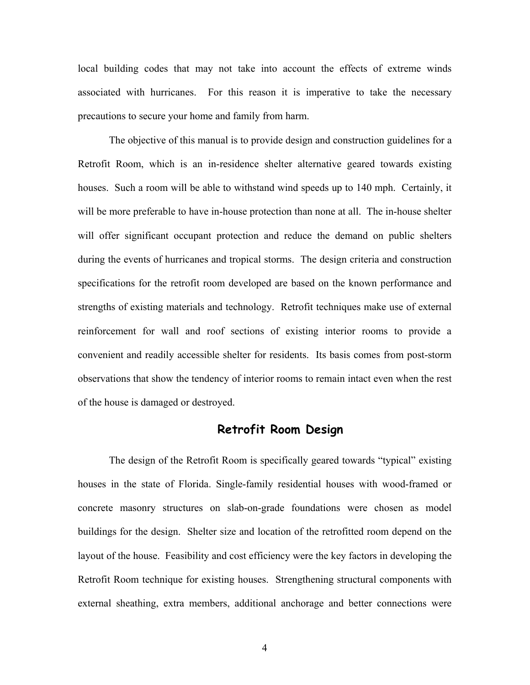local building codes that may not take into account the effects of extreme winds associated with hurricanes. For this reason it is imperative to take the necessary precautions to secure your home and family from harm.

The objective of this manual is to provide design and construction guidelines for a Retrofit Room, which is an in-residence shelter alternative geared towards existing houses. Such a room will be able to withstand wind speeds up to 140 mph. Certainly, it will be more preferable to have in-house protection than none at all. The in-house shelter will offer significant occupant protection and reduce the demand on public shelters during the events of hurricanes and tropical storms. The design criteria and construction specifications for the retrofit room developed are based on the known performance and strengths of existing materials and technology. Retrofit techniques make use of external reinforcement for wall and roof sections of existing interior rooms to provide a convenient and readily accessible shelter for residents. Its basis comes from post-storm observations that show the tendency of interior rooms to remain intact even when the rest of the house is damaged or destroyed.

### **Retrofit Room Design**

The design of the Retrofit Room is specifically geared towards "typical" existing houses in the state of Florida. Single-family residential houses with wood-framed or concrete masonry structures on slab-on-grade foundations were chosen as model buildings for the design. Shelter size and location of the retrofitted room depend on the layout of the house. Feasibility and cost efficiency were the key factors in developing the Retrofit Room technique for existing houses. Strengthening structural components with external sheathing, extra members, additional anchorage and better connections were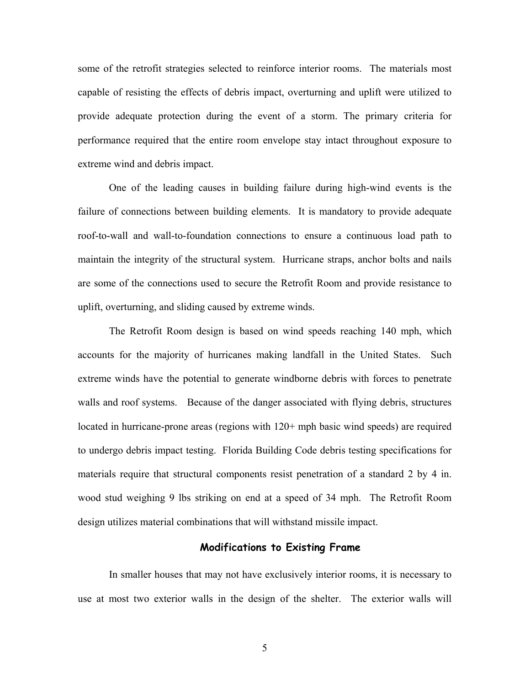some of the retrofit strategies selected to reinforce interior rooms. The materials most capable of resisting the effects of debris impact, overturning and uplift were utilized to provide adequate protection during the event of a storm. The primary criteria for performance required that the entire room envelope stay intact throughout exposure to extreme wind and debris impact.

One of the leading causes in building failure during high-wind events is the failure of connections between building elements. It is mandatory to provide adequate roof-to-wall and wall-to-foundation connections to ensure a continuous load path to maintain the integrity of the structural system. Hurricane straps, anchor bolts and nails are some of the connections used to secure the Retrofit Room and provide resistance to uplift, overturning, and sliding caused by extreme winds.

The Retrofit Room design is based on wind speeds reaching 140 mph, which accounts for the majority of hurricanes making landfall in the United States. Such extreme winds have the potential to generate windborne debris with forces to penetrate walls and roof systems. Because of the danger associated with flying debris, structures located in hurricane-prone areas (regions with  $120+$  mph basic wind speeds) are required to undergo debris impact testing. Florida Building Code debris testing specifications for materials require that structural components resist penetration of a standard 2 by 4 in. wood stud weighing 9 lbs striking on end at a speed of 34 mph. The Retrofit Room design utilizes material combinations that will withstand missile impact.

#### **Modifications to Existing Frame**

In smaller houses that may not have exclusively interior rooms, it is necessary to use at most two exterior walls in the design of the shelter. The exterior walls will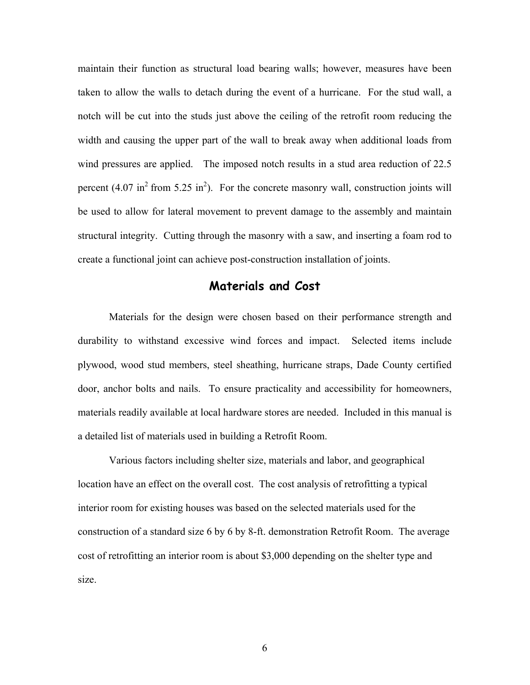maintain their function as structural load bearing walls; however, measures have been taken to allow the walls to detach during the event of a hurricane. For the stud wall, a notch will be cut into the studs just above the ceiling of the retrofit room reducing the width and causing the upper part of the wall to break away when additional loads from wind pressures are applied. The imposed notch results in a stud area reduction of 22.5 percent  $(4.07 \text{ in}^2 \text{ from } 5.25 \text{ in}^2)$ . For the concrete masonry wall, construction joints will be used to allow for lateral movement to prevent damage to the assembly and maintain structural integrity. Cutting through the masonry with a saw, and inserting a foam rod to create a functional joint can achieve post-construction installation of joints.

### **Materials and Cost**

Materials for the design were chosen based on their performance strength and durability to withstand excessive wind forces and impact. Selected items include plywood, wood stud members, steel sheathing, hurricane straps, Dade County certified door, anchor bolts and nails. To ensure practicality and accessibility for homeowners, materials readily available at local hardware stores are needed. Included in this manual is a detailed list of materials used in building a Retrofit Room.

 Various factors including shelter size, materials and labor, and geographical location have an effect on the overall cost. The cost analysis of retrofitting a typical interior room for existing houses was based on the selected materials used for the construction of a standard size 6 by 6 by 8-ft. demonstration Retrofit Room. The average cost of retrofitting an interior room is about \$3,000 depending on the shelter type and size.

6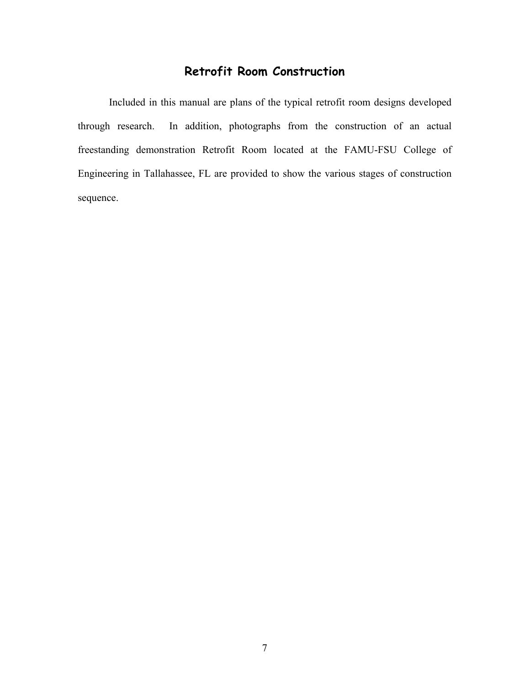### **Retrofit Room Construction**

 Included in this manual are plans of the typical retrofit room designs developed through research. In addition, photographs from the construction of an actual freestanding demonstration Retrofit Room located at the FAMU-FSU College of Engineering in Tallahassee, FL are provided to show the various stages of construction sequence.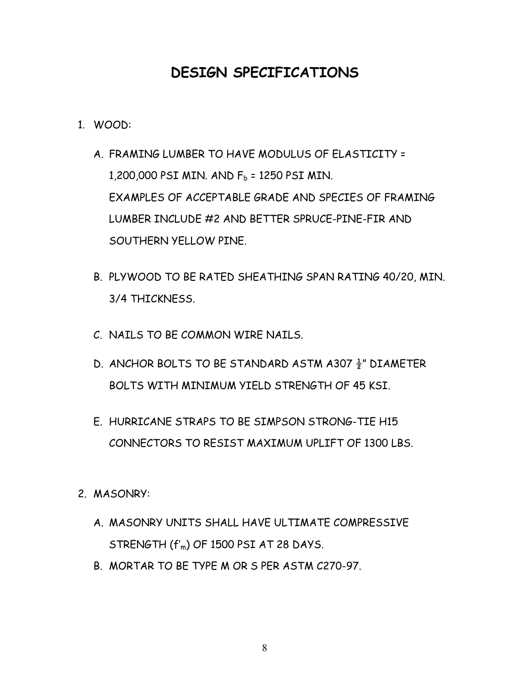# **DESIGN SPECIFICATIONS**

- 1. WOOD:
	- A. FRAMING LUMBER TO HAVE MODULUS OF ELASTICITY = 1,200,000 PSI MIN. AND  $F_b$  = 1250 PSI MIN. EXAMPLES OF ACCEPTABLE GRADE AND SPECIES OF FRAMING LUMBER INCLUDE #2 AND BETTER SPRUCE-PINE-FIR AND SOUTHERN YELLOW PINE.
	- B. PLYWOOD TO BE RATED SHEATHING SPAN RATING 40/20, MIN. 3/4 THICKNESS.
	- C. NAILS TO BE COMMON WIRE NAILS.
	- D. ANCHOR BOLTS TO BE STANDARD ASTM A307 ½" DIAMETER BOLTS WITH MINIMUM YIELD STRENGTH OF 45 KSI.
	- E. HURRICANE STRAPS TO BE SIMPSON STRONG-TIE H15 CONNECTORS TO RESIST MAXIMUM UPLIFT OF 1300 LBS.
- 2. MASONRY:
	- A. MASONRY UNITS SHALL HAVE ULTIMATE COMPRESSIVE STRENGTH (f'm) OF 1500 PSI AT 28 DAYS.
	- B. MORTAR TO BE TYPE M OR S PER ASTM C270-97.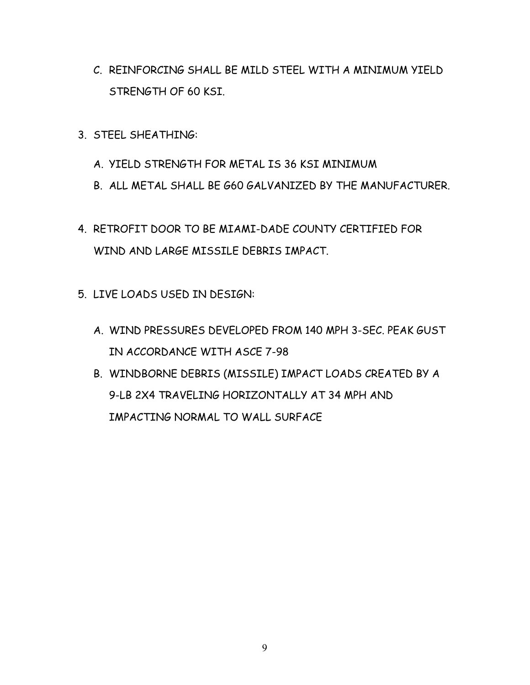- C. REINFORCING SHALL BE MILD STEEL WITH A MINIMUM YIELD STRENGTH OF 60 KSI.
- 3. STEEL SHEATHING:
	- A. YIELD STRENGTH FOR METAL IS 36 KSI MINIMUM
	- B. ALL METAL SHALL BE G60 GALVANIZED BY THE MANUFACTURER.
- 4. RETROFIT DOOR TO BE MIAMI-DADE COUNTY CERTIFIED FOR WIND AND LARGE MISSILE DEBRIS IMPACT.
- 5. LIVE LOADS USED IN DESIGN:
	- A. WIND PRESSURES DEVELOPED FROM 140 MPH 3-SEC. PEAK GUST IN ACCORDANCE WITH ASCE 7-98
	- B. WINDBORNE DEBRIS (MISSILE) IMPACT LOADS CREATED BY A 9-LB 2X4 TRAVELING HORIZONTALLY AT 34 MPH AND IMPACTING NORMAL TO WALL SURFACE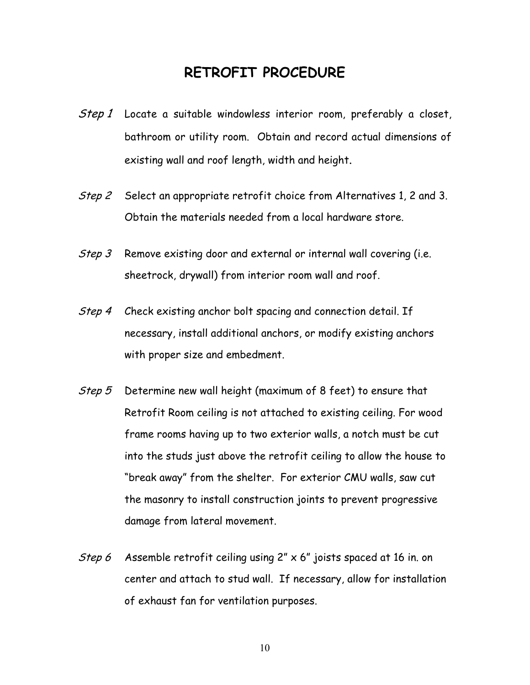## **RETROFIT PROCEDURE**

- Step 1 Locate a suitable windowless interior room, preferably a closet, bathroom or utility room. Obtain and record actual dimensions of existing wall and roof length, width and height.
- Step 2 Select an appropriate retrofit choice from Alternatives 1, 2 and 3. Obtain the materials needed from a local hardware store.
- Step 3 Remove existing door and external or internal wall covering (i.e. sheetrock, drywall) from interior room wall and roof.
- Step 4 Check existing anchor bolt spacing and connection detail. If necessary, install additional anchors, or modify existing anchors with proper size and embedment.
- Step 5 Determine new wall height (maximum of 8 feet) to ensure that Retrofit Room ceiling is not attached to existing ceiling. For wood frame rooms having up to two exterior walls, a notch must be cut into the studs just above the retrofit ceiling to allow the house to "break away" from the shelter. For exterior CMU walls, saw cut the masonry to install construction joints to prevent progressive damage from lateral movement.
- Step 6 Assemble retrofit ceiling using 2" x 6" joists spaced at 16 in. on center and attach to stud wall. If necessary, allow for installation of exhaust fan for ventilation purposes.

10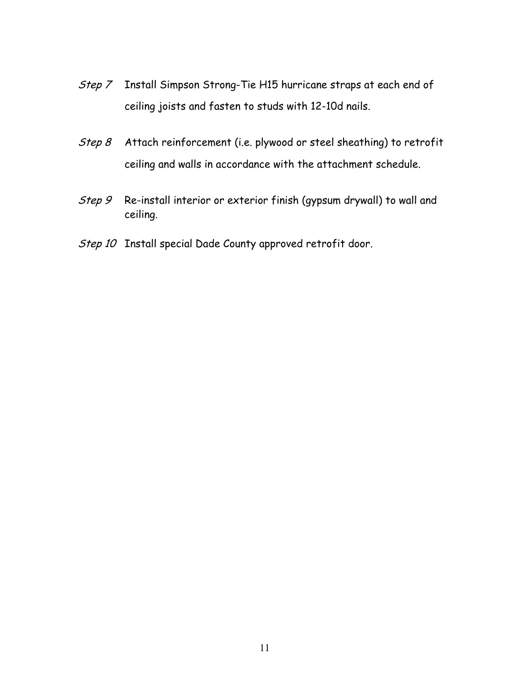- Step 7 Install Simpson Strong-Tie H15 hurricane straps at each end of ceiling joists and fasten to studs with 12-10d nails.
- Step 8 Attach reinforcement (i.e. plywood or steel sheathing) to retrofit ceiling and walls in accordance with the attachment schedule.
- Step 9 Re-install interior or exterior finish (gypsum drywall) to wall and ceiling.
- Step 10 Install special Dade County approved retrofit door.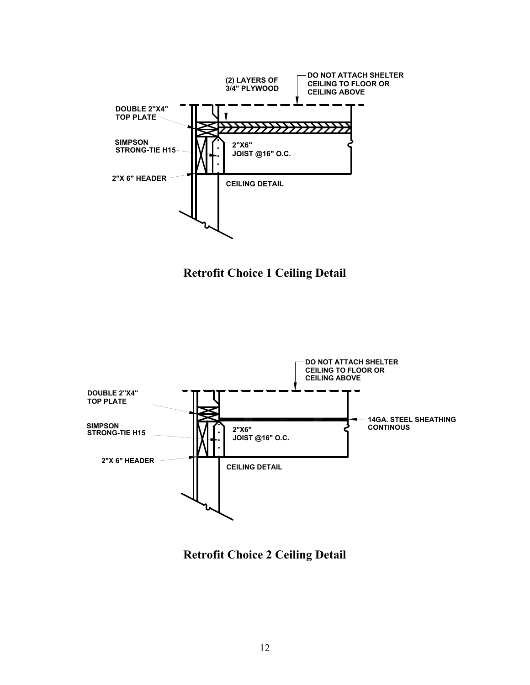

**Retrofit Choice 1 Ceiling Detail** 



**Retrofit Choice 2 Ceiling Detail**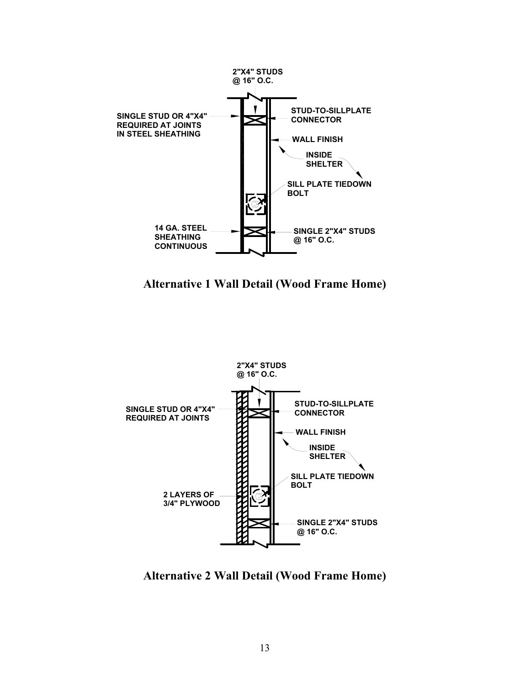

**Alternative 1 Wall Detail (Wood Frame Home)** 



**Alternative 2 Wall Detail (Wood Frame Home)**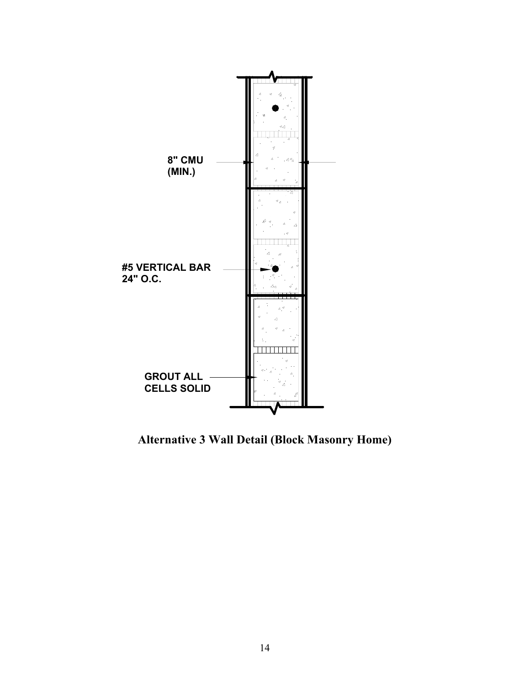

**Alternative 3 Wall Detail (Block Masonry Home)**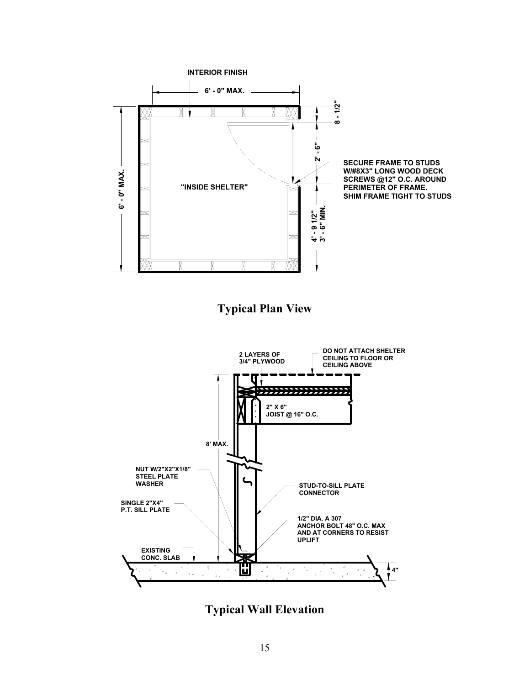

**Typical Plan View** 



**Typical Wall Elevation**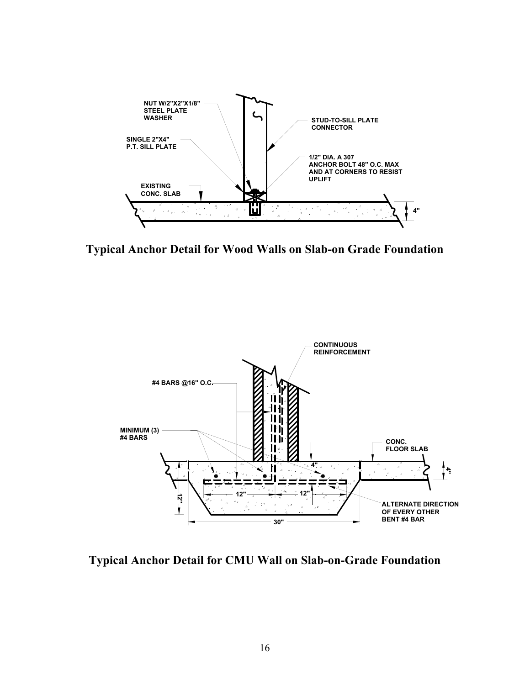

**Typical Anchor Detail for Wood Walls on Slab-on Grade Foundation** 



**Typical Anchor Detail for CMU Wall on Slab-on-Grade Foundation**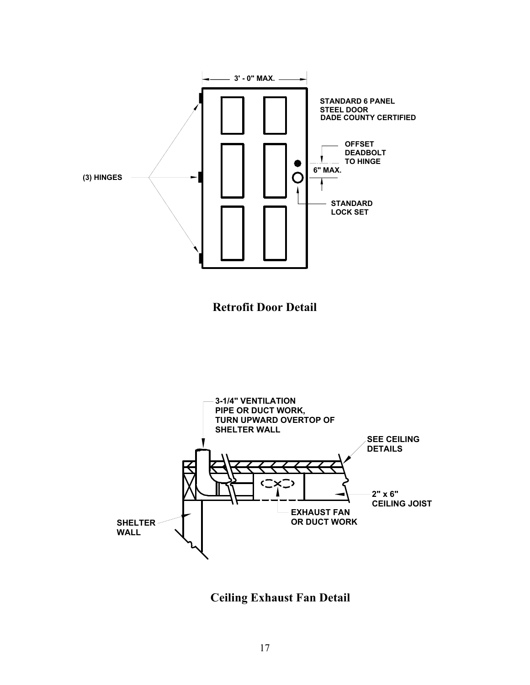

**Ceiling Exhaust Fan Detail**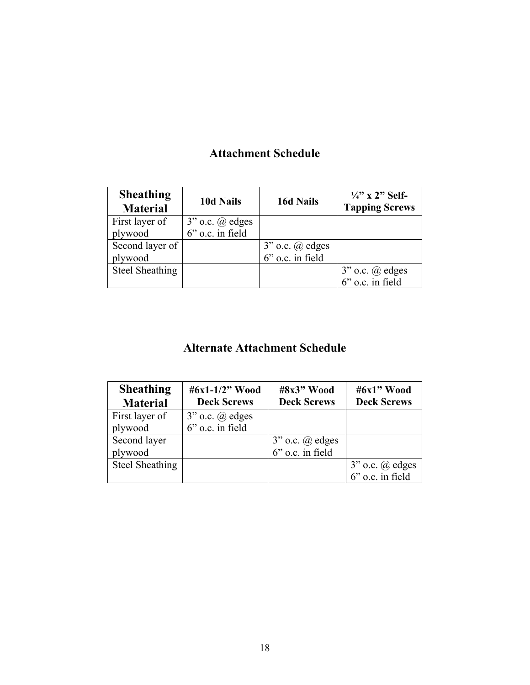## **Attachment Schedule**

| <b>Sheathing</b><br><b>Material</b> | <b>10d Nails</b>      | <b>16d Nails</b>         | $\frac{1}{4}$ " x 2" Self-<br><b>Tapping Screws</b> |
|-------------------------------------|-----------------------|--------------------------|-----------------------------------------------------|
| First layer of                      | $3"$ o.c. $(a)$ edges |                          |                                                     |
| plywood                             | 6" o.c. in field      |                          |                                                     |
| Second layer of                     |                       | $3"$ o.c. $\omega$ edges |                                                     |
| plywood                             |                       | 6" o.c. in field         |                                                     |
| Steel Sheathing                     |                       |                          | $3"$ o.c. $@$ edges                                 |
|                                     |                       |                          | $6$ " o.c. in field                                 |

## **Alternate Attachment Schedule**

| <b>Sheathing</b><br><b>Material</b> | #6x1-1/2" Wood<br><b>Deck Screws</b> | #8x3" Wood<br><b>Deck Screws</b> | #6x1" Wood<br><b>Deck Screws</b>        |
|-------------------------------------|--------------------------------------|----------------------------------|-----------------------------------------|
| First layer of                      | $3"$ o.c. $(a)$ edges                |                                  |                                         |
| plywood                             | $6"$ o.c. in field                   |                                  |                                         |
| Second layer                        |                                      | $3"$ o.c. $\omega$ edges         |                                         |
| plywood                             |                                      | $6"$ o.c. in field               |                                         |
| Steel Sheathing                     |                                      |                                  | $3"$ o.c. $@$ edges<br>6" o.c. in field |
|                                     |                                      |                                  |                                         |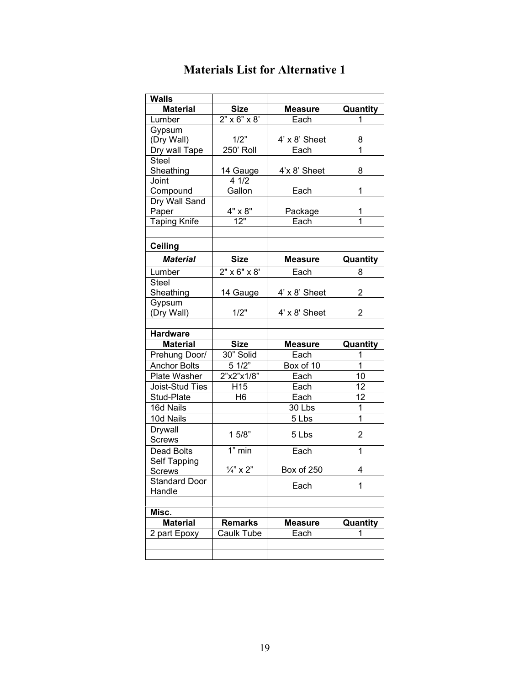| <b>Walls</b>         |                            |                      |                |
|----------------------|----------------------------|----------------------|----------------|
| <b>Material</b>      | <b>Size</b>                | <b>Measure</b>       | Quantity       |
| Lumber               | $2" \times 6" \times 8'$   | Each                 | 1              |
| Gypsum               |                            |                      |                |
| (Dry Wall)           | 1/2"                       | $4' \times 8'$ Sheet | 8              |
| Dry wall Tape        | $250'$ Roll                | Each                 | 1              |
| <b>Steel</b>         |                            |                      |                |
| Sheathing            | 14 Gauge                   | 4'x 8' Sheet         | 8              |
| Joint                | 4 1/2                      |                      |                |
| Compound             | Gallon                     | Each                 | 1              |
| Dry Wall Sand        |                            |                      |                |
| Paper                | $\frac{4" \times 8"}{12"}$ | Package              | 1              |
| <b>Taping Knife</b>  |                            | Each                 |                |
|                      |                            |                      |                |
| <b>Ceiling</b>       |                            |                      |                |
| <b>Material</b>      | <b>Size</b>                | <b>Measure</b>       | Quantity       |
| Lumber               | $2" \times 6" \times 8'$   | Each                 | 8              |
| <b>Steel</b>         |                            |                      |                |
| Sheathing            | 14 Gauge                   | 4' x 8' Sheet        | $\overline{2}$ |
| Gypsum               |                            |                      |                |
| (Dry Wall)           | 1/2"                       | 4' x 8' Sheet        | $\overline{2}$ |
|                      |                            |                      |                |
| <b>Hardware</b>      |                            |                      |                |
| <b>Material</b>      | <b>Size</b>                | <b>Measure</b>       | Quantity       |
| Prehung Door/        | 30" Solid                  | Each                 | 1              |
| <b>Anchor Bolts</b>  | 51/2"                      | Box of 10            | $\mathbf{1}$   |
| Plate Washer         | 2"x2"x1/8"                 | Each                 | 10             |
| Joist-Stud Ties      | H <sub>15</sub>            | Each                 | 12             |
| Stud-Plate           | H <sub>6</sub>             | Each                 | 12             |
| 16d Nails            |                            | 30 Lbs               | 1              |
| 10d Nails            |                            | 5 Lbs                | $\mathbf 1$    |
| Drywall              | 15/8"                      | 5 Lbs                | $\overline{2}$ |
| <b>Screws</b>        |                            |                      |                |
| Dead Bolts           | $1"$ min                   | Each                 | 1              |
| Self Tapping         |                            |                      |                |
| <u>Screws</u>        | $\frac{1}{4}$ " x 2"       | Box of 250           | 4              |
| <b>Standard Door</b> |                            | Each                 | 1              |
| Handle               |                            |                      |                |
| Misc.                |                            |                      |                |
| <b>Material</b>      | <b>Remarks</b>             | <b>Measure</b>       | Quantity       |
| 2 part Epoxy         | Caulk Tube                 | Each                 | 1              |
|                      |                            |                      |                |
|                      |                            |                      |                |

## **Materials List for Alternative 1**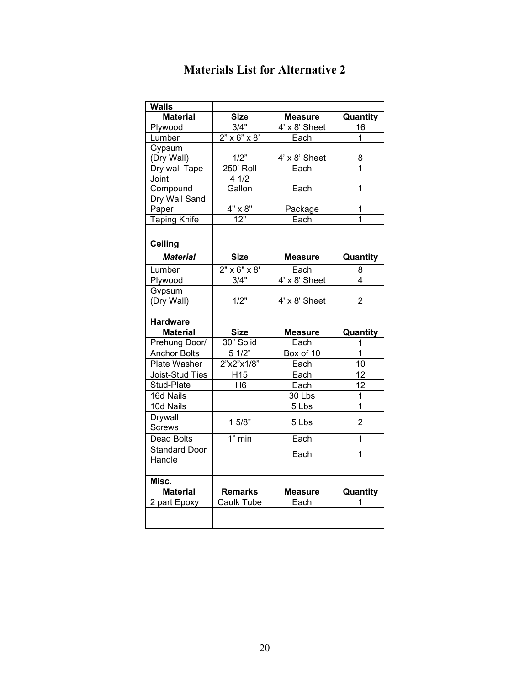| <b>Walls</b>         |                          |                |                         |
|----------------------|--------------------------|----------------|-------------------------|
| <b>Material</b>      | <b>Size</b>              | <b>Measure</b> | Quantity                |
| Plywood              | 3/4"                     | 4' x 8' Sheet  | 16                      |
| Lumber               | $2" \times 6" \times 8"$ | Each           | 1                       |
| Gypsum               |                          |                |                         |
| (Dry Wall)           | 1/2"                     | 4' x 8' Sheet  | 8                       |
| Dry wall Tape        | 250' Roll                | Each           | 1                       |
| Joint                | 41/2                     |                |                         |
| Compound             | Gallon                   | Each           | 1                       |
| Dry Wall Sand        |                          |                |                         |
| Paper                | 4" x 8"                  | Package        | 1                       |
| <b>Taping Knife</b>  | 12"                      | Each           | $\overline{\mathbf{1}}$ |
|                      |                          |                |                         |
| <b>Ceiling</b>       |                          |                |                         |
| <b>Material</b>      | <b>Size</b>              | <b>Measure</b> | Quantity                |
| Lumber               | $2" \times 6" \times 8'$ | Each           | 8                       |
| Plywood              | 3/4"                     | 4' x 8' Sheet  | 4                       |
| Gypsum               |                          |                |                         |
| (Dry Wall)           | 1/2"                     | 4' x 8' Sheet  | $\overline{2}$          |
|                      |                          |                |                         |
| <b>Hardware</b>      |                          |                |                         |
| <b>Material</b>      | <b>Size</b>              | <b>Measure</b> | Quantity                |
| Prehung Door/        | 30" Solid                | Each           | 1                       |
| <b>Anchor Bolts</b>  | 51/2"                    | Box of 10      | $\overline{1}$          |
| Plate Washer         | 2"x2"x1/8"               | Each           | 10                      |
| Joist-Stud Ties      | H <sub>15</sub>          | Each           | 12                      |
| Stud-Plate           | H <sub>6</sub>           | Each           | 12                      |
| 16d Nails            |                          | 30 Lbs         | $\overline{1}$          |
| 10d Nails            |                          | 5 Lbs          | $\overline{1}$          |
| Drywall              | 15/8"                    | 5 Lbs          | $\overline{2}$          |
| <b>Screws</b>        |                          |                |                         |
| <b>Dead Bolts</b>    | $1"$ min                 | Each           | 1                       |
| <b>Standard Door</b> |                          | Each           | 1                       |
| Handle               |                          |                |                         |
|                      |                          |                |                         |
| Misc.                |                          |                |                         |
| <b>Material</b>      | <b>Remarks</b>           | <b>Measure</b> | Quantity                |
| 2 part Epoxy         | Caulk Tube               | Each           | 1                       |
|                      |                          |                |                         |
|                      |                          |                |                         |

## **Materials List for Alternative 2**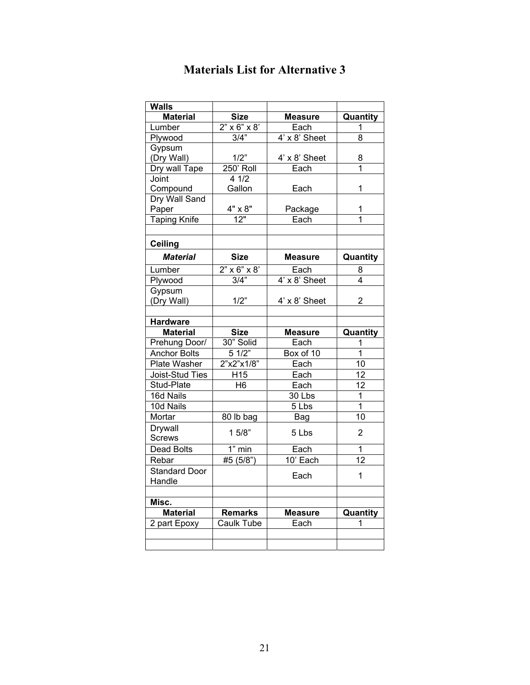| <b>Walls</b>         |                            |                          |                |
|----------------------|----------------------------|--------------------------|----------------|
| <b>Material</b>      | <b>Size</b>                | <b>Measure</b>           | Quantity       |
| Lumber               | $2" \times 6" \times 8"$   | Each                     | 1              |
| Plywood              | 3/4"                       | $4' \times 8'$ Sheet     | 8              |
| Gypsum               |                            |                          |                |
| (Dry Wall)           | 1/2"                       | 4' x 8' Sheet            | 8              |
| Dry wall Tape        | 250' Roll                  | Each                     | 1              |
| Joint                | 41/2                       |                          |                |
| Compound             | Gallon                     | Each                     | 1              |
| Dry Wall Sand        |                            |                          |                |
| Paper                | $\frac{4" \times 8"}{12"}$ | Package                  | 1              |
| <b>Taping Knife</b>  |                            | $\overline{\text{Each}}$ | 1              |
|                      |                            |                          |                |
| <b>Ceiling</b>       |                            |                          |                |
| <b>Material</b>      | <b>Size</b>                | <b>Measure</b>           | Quantity       |
| Lumber               | $2" \times 6" \times 8"$   | Each                     | 8              |
| Plywood              | $3/4$ "                    | 4' x 8' Sheet            | 4              |
| Gypsum               |                            |                          |                |
| (Dry Wall)           | 1/2"                       | 4' x 8' Sheet            | $\overline{2}$ |
|                      |                            |                          |                |
| <b>Hardware</b>      |                            |                          |                |
|                      |                            |                          |                |
| <b>Material</b>      | <b>Size</b>                | <b>Measure</b>           | Quantity       |
| Prehung Door/        | 30" Solid                  | Each                     | 1              |
| <b>Anchor Bolts</b>  | 51/2"                      | Box of 10                | $\overline{1}$ |
| Plate Washer         | 2"x2"x1/8"                 | Each                     | 10             |
| Joist-Stud Ties      | H <sub>15</sub>            | Each                     | 12             |
| Stud-Plate           | H6                         | Each                     | 12             |
| 16d Nails            |                            | 30 Lbs                   | $\mathbf{1}$   |
| 10d Nails            |                            | 5 Lbs                    | 1              |
| Mortar               | 80 lb bag                  | Bag                      | 10             |
| Drywall              |                            |                          |                |
| <b>Screws</b>        | 15/8"                      | 5 Lbs                    | $\overline{2}$ |
| <b>Dead Bolts</b>    | $1"$ min                   | Each                     | 1              |
| Rebar                | #5 (5/8")                  | 10' Each                 | 12             |
| <b>Standard Door</b> |                            |                          |                |
| Handle               |                            | Each                     | $\mathbf{1}$   |
|                      |                            |                          |                |
| Misc.                |                            |                          |                |
| <b>Material</b>      | <b>Remarks</b>             | <b>Measure</b>           | Quantity       |
| 2 part Epoxy         | Caulk Tube                 | Each                     | 1              |
|                      |                            |                          |                |

## **Materials List for Alternative 3**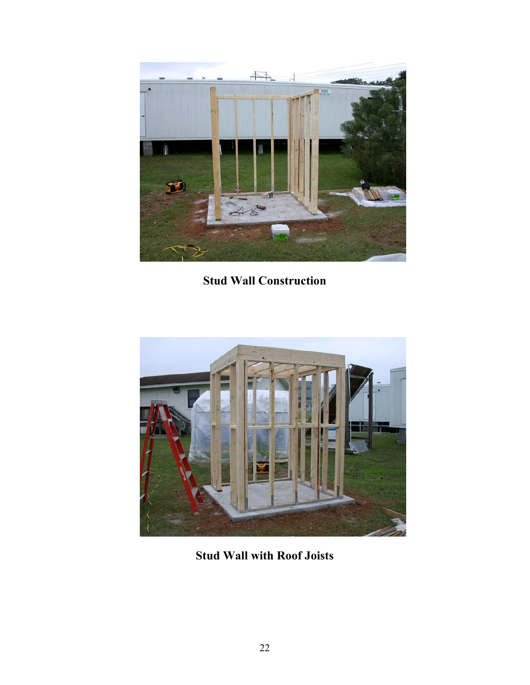

**Stud Wall Construction** 



**Stud Wall with Roof Joists**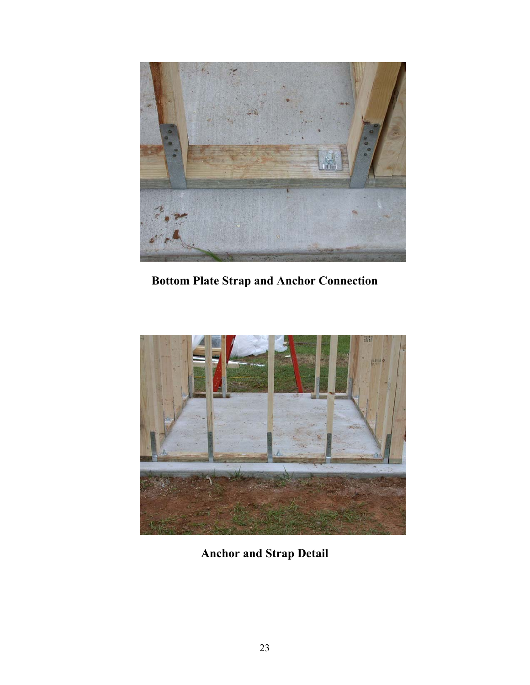

**Bottom Plate Strap and Anchor Connection** 



**Anchor and Strap Detail**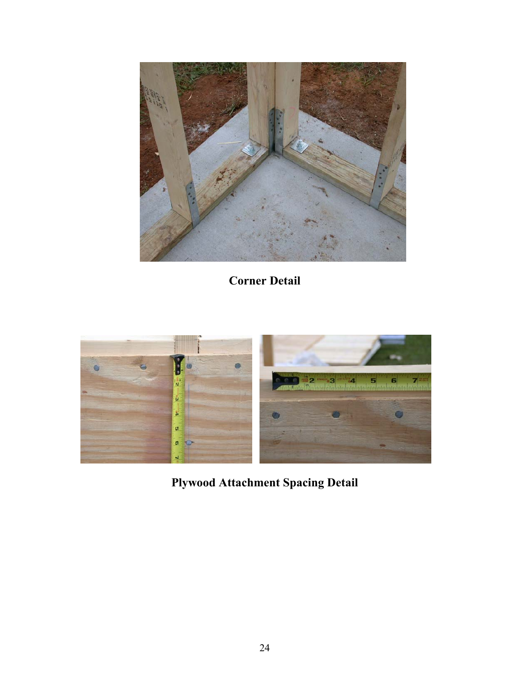

**Corner Detail** 



**Plywood Attachment Spacing Detail**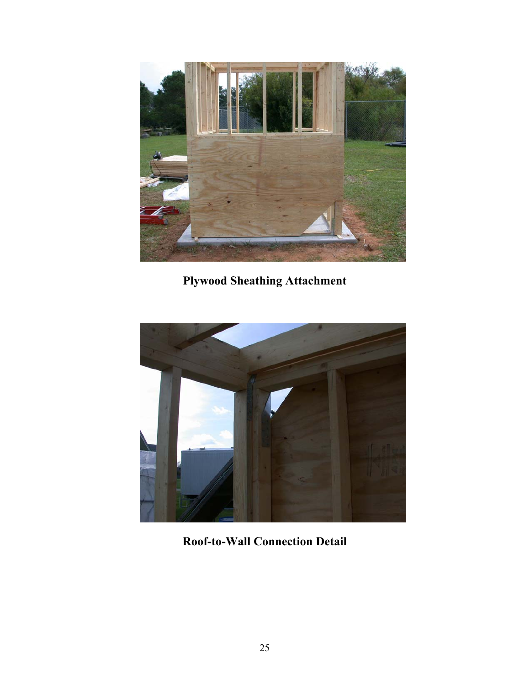

**Plywood Sheathing Attachment** 



**Roof-to-Wall Connection Detail**